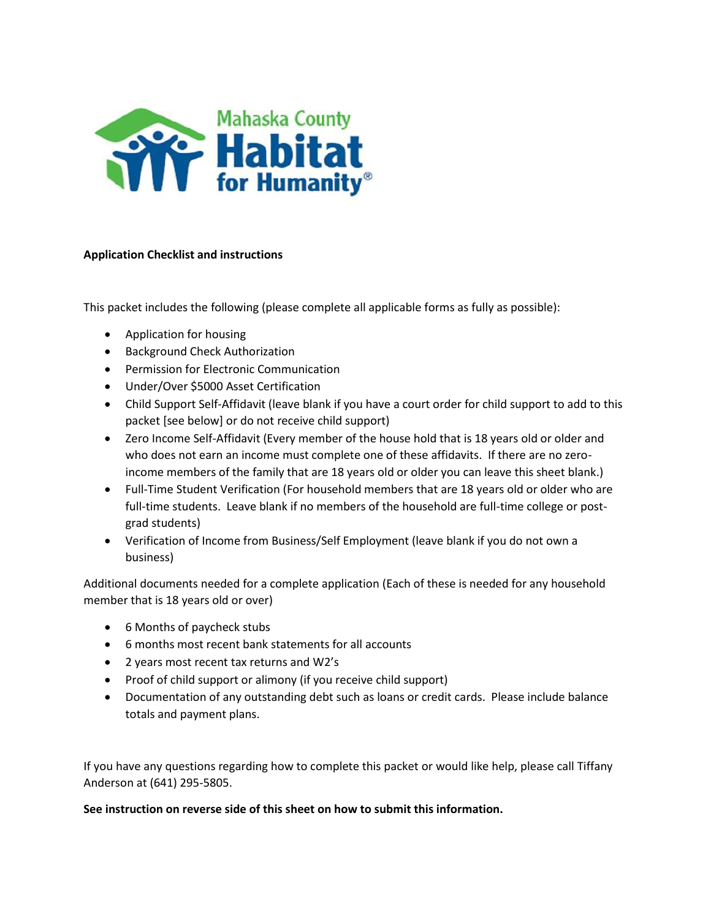

### **Application Checklist and instructions**

This packet includes the following (please complete all applicable forms as fully as possible):

- Application for housing
- Background Check Authorization
- **•** Permission for Electronic Communication
- Under/Over \$5000 Asset Certification
- Child Support Self-Affidavit (leave blank if you have a court order for child support to add to this packet [see below] or do not receive child support)
- Zero Income Self-Affidavit (Every member of the house hold that is 18 years old or older and who does not earn an income must complete one of these affidavits. If there are no zeroincome members of the family that are 18 years old or older you can leave this sheet blank.)
- Full-Time Student Verification (For household members that are 18 years old or older who are full-time students. Leave blank if no members of the household are full-time college or postgrad students)
- Verification of Income from Business/Self Employment (leave blank if you do not own a business)

Additional documents needed for a complete application (Each of these is needed for any household member that is 18 years old or over)

- 6 Months of paycheck stubs
- 6 months most recent bank statements for all accounts
- 2 years most recent tax returns and W2's
- Proof of child support or alimony (if you receive child support)
- Documentation of any outstanding debt such as loans or credit cards. Please include balance totals and payment plans.

If you have any questions regarding how to complete this packet or would like help, please call Tiffany Anderson at (641) 295-5805.

**See instruction on reverse side of this sheet on how to submit this information.**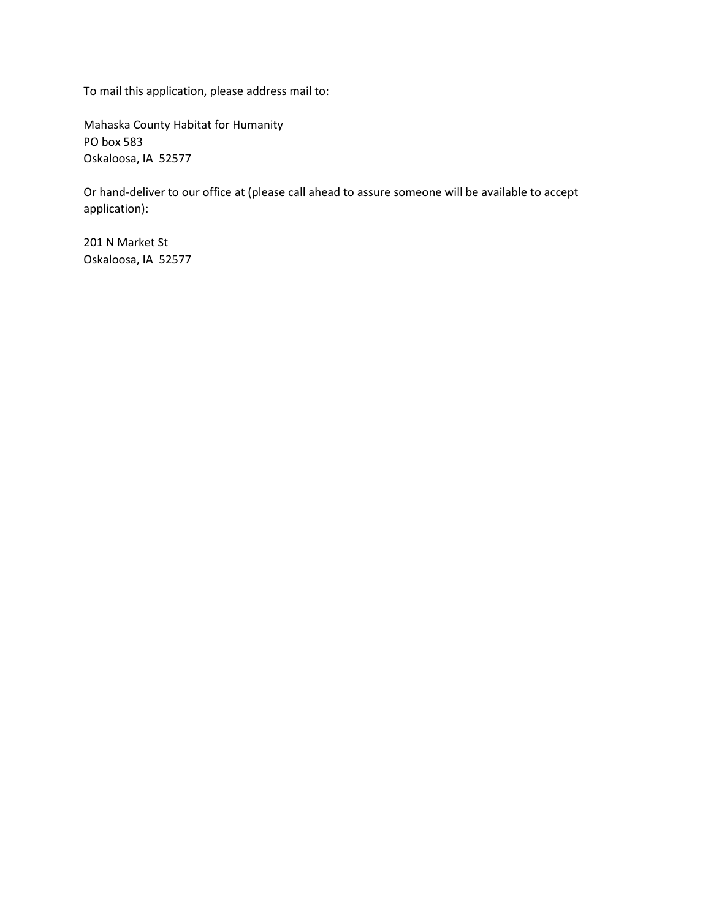To mail this application, please address mail to:

Mahaska County Habitat for Humanity PO box 583 Oskaloosa, IA 52577

Or hand-deliver to our office at (please call ahead to assure someone will be available to accept application):

201 N Market St Oskaloosa, IA 52577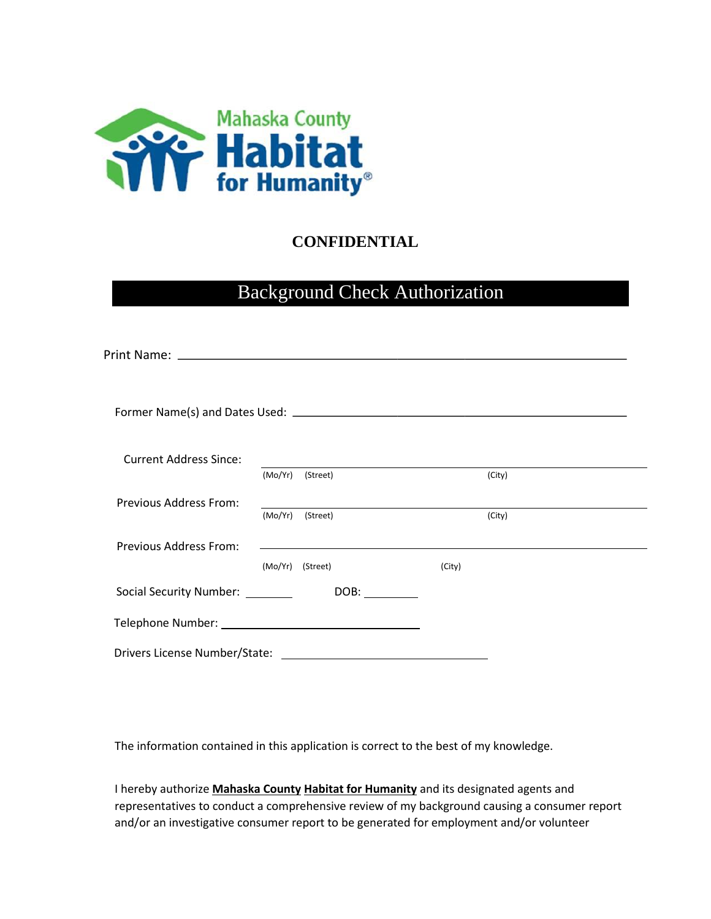

## **CONFIDENTIAL**

# Background Check Authorization

| <b>Current Address Since:</b>     |                                                                                                                      |        |        |
|-----------------------------------|----------------------------------------------------------------------------------------------------------------------|--------|--------|
|                                   | (Mo/Yr) (Street)                                                                                                     |        | (City) |
| Previous Address From:            | <u> 1989 - Andrea Andrew Maria (h. 1989).</u>                                                                        |        |        |
|                                   | (Mo/Yr) (Street)                                                                                                     |        | (City) |
| Previous Address From:            | and the control of the control of the control of the control of the control of the control of the control of the     |        |        |
|                                   | (Mo/Yr) (Street)                                                                                                     | (City) |        |
| Social Security Number: _________ | DOB:                                                                                                                 |        |        |
|                                   |                                                                                                                      |        |        |
| Drivers License Number/State:     | <u> 1989 - Johann Barn, mars ann an t-Amhain Aonaich an t-Aonaich an t-Aonaich ann an t-Aonaich ann an t-Aonaich</u> |        |        |

The information contained in this application is correct to the best of my knowledge.

I hereby authorize **Mahaska County Habitat for Humanity** and its designated agents and representatives to conduct a comprehensive review of my background causing a consumer report and/or an investigative consumer report to be generated for employment and/or volunteer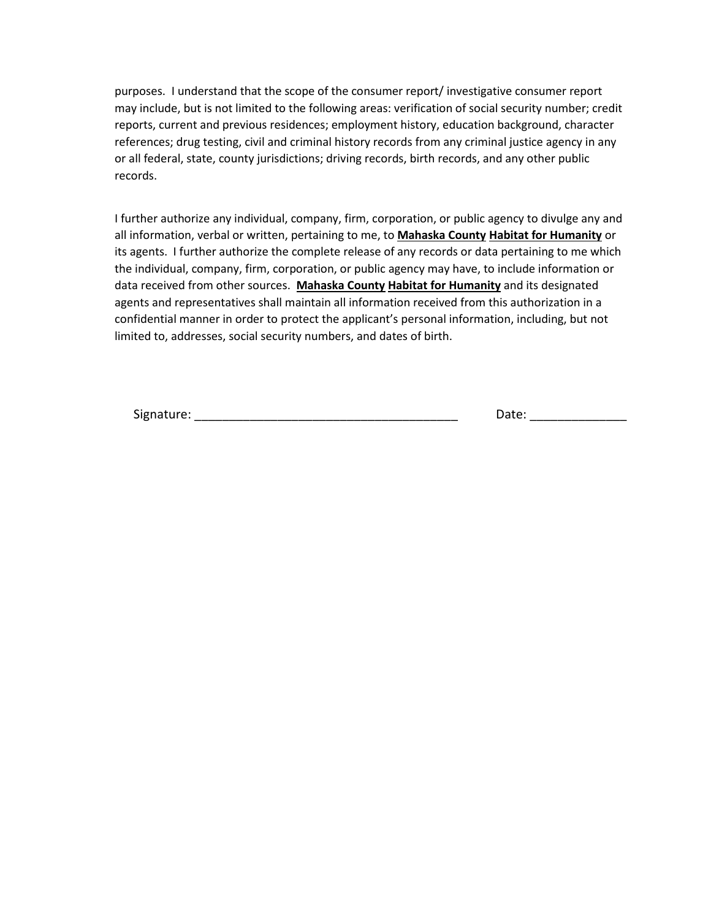purposes. I understand that the scope of the consumer report/ investigative consumer report may include, but is not limited to the following areas: verification of social security number; credit reports, current and previous residences; employment history, education background, character references; drug testing, civil and criminal history records from any criminal justice agency in any or all federal, state, county jurisdictions; driving records, birth records, and any other public records.

I further authorize any individual, company, firm, corporation, or public agency to divulge any and all information, verbal or written, pertaining to me, to **Mahaska County Habitat for Humanity** or its agents. I further authorize the complete release of any records or data pertaining to me which the individual, company, firm, corporation, or public agency may have, to include information or data received from other sources. **Mahaska County Habitat for Humanity** and its designated agents and representatives shall maintain all information received from this authorization in a confidential manner in order to protect the applicant's personal information, including, but not limited to, addresses, social security numbers, and dates of birth.

Signature: \_\_\_\_\_\_\_\_\_\_\_\_\_\_\_\_\_\_\_\_\_\_\_\_\_\_\_\_\_\_\_\_\_\_\_\_\_\_ Date: \_\_\_\_\_\_\_\_\_\_\_\_\_\_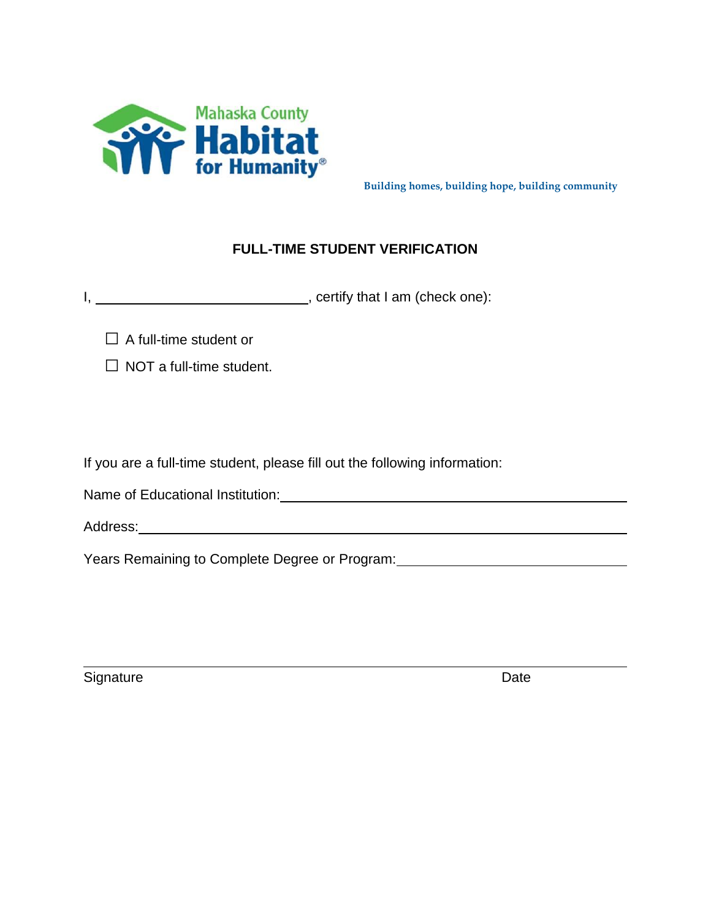

**Building homes, building hope, building community**

## **FULL-TIME STUDENT VERIFICATION**

I, \_\_\_\_\_\_\_\_\_\_\_\_\_\_\_\_\_\_\_\_\_\_\_\_\_\_\_\_\_\_\_\_, certify that I am (check one):

**□** A full-time student or

**□** NOT a full-time student.

If you are a full-time student, please fill out the following information:

Name of Educational Institution: Name of Educational Institution:

Address: Address: Address: Address: Address: Address: Address: Address: Address: Address: Address: Address: Address: Address: Address: Address: Address: Address: Address: Address: Address: Address: Address: Address: Addres

Years Remaining to Complete Degree or Program: [19] Nearly Means Remaining to Complete Degree or Program:

Signature Date **Date**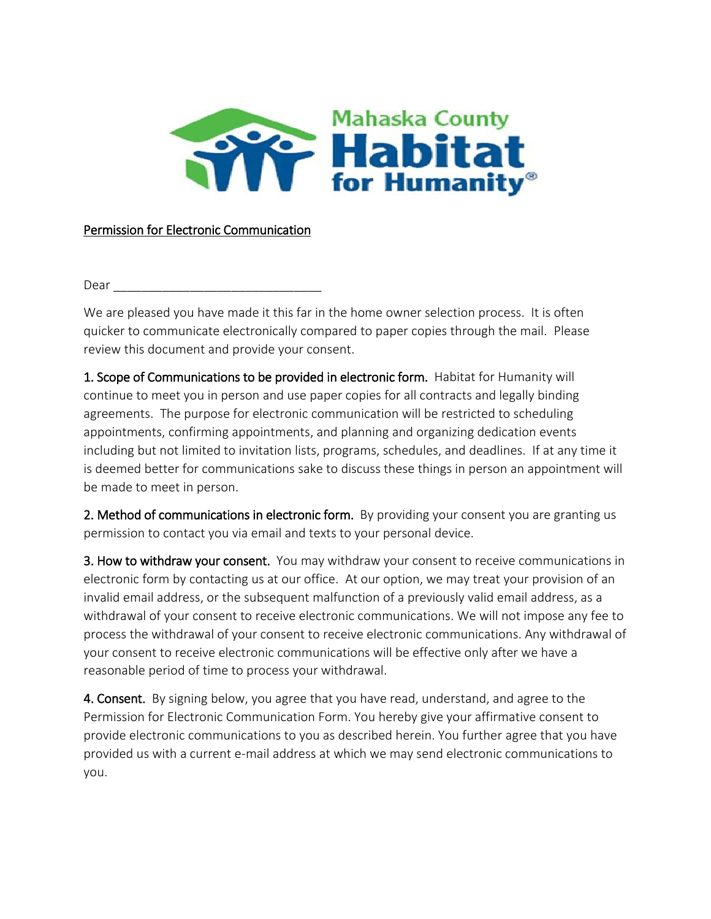

## Permission for Electronic Communication

Dear **contract and the contract of the contract of the contract of the contract of the contract of the contract of the contract of the contract of the contract of the contract of the contract of the contract of the contrac** 

We are pleased you have made it this far in the home owner selection process. It is often quicker to communicate electronically compared to paper copies through the mail. Please review this document and provide your consent.

1. Scope of Communications to be provided in electronic form. Habitat for Humanity will continue to meet you in person and use paper copies for all contracts and legally binding agreements. The purpose for electronic communication will be restricted to scheduling appointments, confirming appointments, and planning and organizing dedication events including but not limited to invitation lists, programs, schedules, and deadlines. If at any time it is deemed better for communications sake to discuss these things in person an appointment will be made to meet in person.

2. Method of communications in electronic form. By providing your consent you are granting us permission to contact you via email and texts to your personal device.

3. How to withdraw your consent. You may withdraw your consent to receive communications in electronic form by contacting us at our office. At our option, we may treat your provision of an invalid email address, or the subsequent malfunction of a previously valid email address, as a withdrawal of your consent to receive electronic communications. We will not impose any fee to process the withdrawal of your consent to receive electronic communications. Any withdrawal of your consent to receive electronic communications will be effective only after we have a reasonable period of time to process your withdrawal.

4. Consent. By signing below, you agree that you have read, understand, and agree to the Permission for Electronic Communication Form. You hereby give your affirmative consent to provide electronic communications to you as described herein. You further agree that you have provided us with a current e-mail address at which we may send electronic communications to you.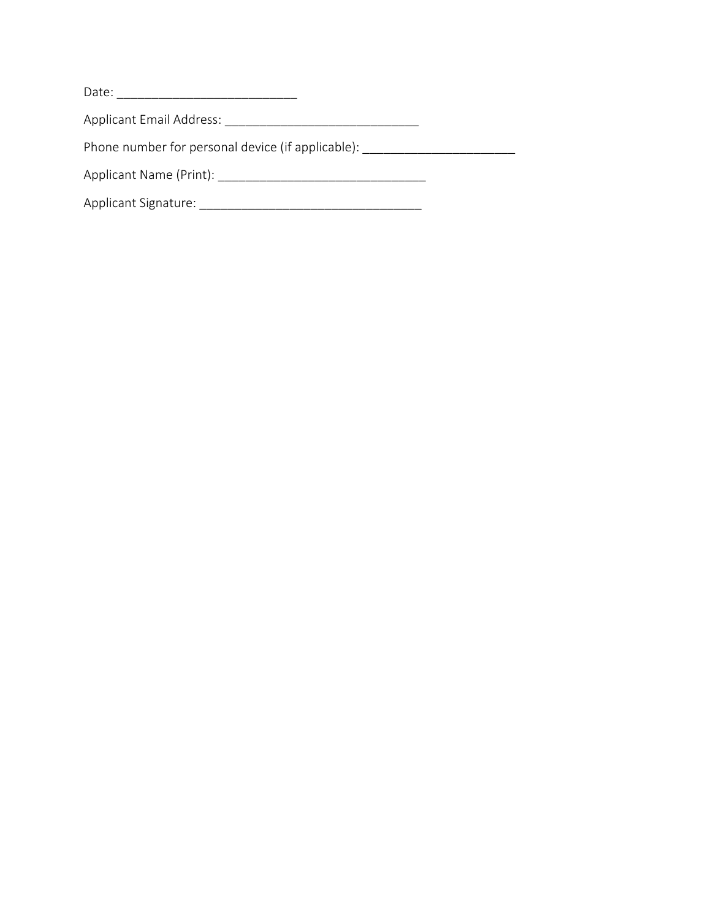| Date:                           |  |
|---------------------------------|--|
| <b>Applicant Email Address:</b> |  |

Phone number for personal device (if applicable): \_\_\_\_\_\_\_\_\_\_\_\_\_\_\_\_\_\_\_\_\_\_\_\_\_\_\_\_\_\_

Applicant Name (Print): \_\_\_\_\_\_\_\_\_\_\_\_\_\_\_\_\_\_\_\_\_\_\_\_\_\_\_\_\_\_

Applicant Signature: \_\_\_\_\_\_\_\_\_\_\_\_\_\_\_\_\_\_\_\_\_\_\_\_\_\_\_\_\_\_\_\_